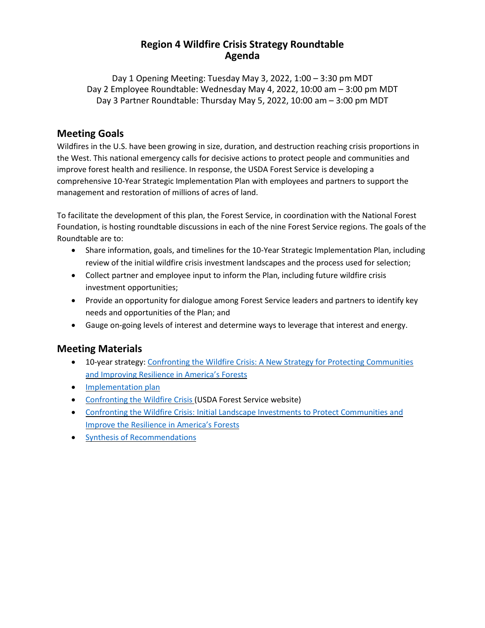### **Region 4 Wildfire Crisis Strategy Roundtable Agenda**

Day 1 Opening Meeting: Tuesday May 3, 2022, 1:00 – 3:30 pm MDT Day 2 Employee Roundtable: Wednesday May 4, 2022, 10:00 am – 3:00 pm MDT Day 3 Partner Roundtable: Thursday May 5, 2022, 10:00 am – 3:00 pm MDT

### **Meeting Goals**

Wildfires in the U.S. have been growing in size, duration, and destruction reaching crisis proportions in the West. This national emergency calls for decisive actions to protect people and communities and improve forest health and resilience. In response, the USDA Forest Service is developing a comprehensive 10-Year Strategic Implementation Plan with employees and partners to support the management and restoration of millions of acres of land.

To facilitate the development of this plan, the Forest Service, in coordination with the National Forest Foundation, is hosting roundtable discussions in each of the nine Forest Service regions. The goals of the Roundtable are to:

- Share information, goals, and timelines for the 10-Year Strategic Implementation Plan, including review of the initial wildfire crisis investment landscapes and the process used for selection;
- Collect partner and employee input to inform the Plan, including future wildfire crisis investment opportunities;
- Provide an opportunity for dialogue among Forest Service leaders and partners to identify key needs and opportunities of the Plan; and
- Gauge on-going levels of interest and determine ways to leverage that interest and energy.

## **Meeting Materials**

- 10-year strategy: Confronting the Wildfire Crisis: A New Strategy for Protecting [Communities](https://www.fs.usda.gov/sites/default/files/Confronting-Wildfire-Crisis.pdf) and [Improving](https://www.fs.usda.gov/sites/default/files/Confronting-Wildfire-Crisis.pdf) Resilience in America's Forests
- [Implementation](https://www.fs.usda.gov/sites/default/files/Wildfire-Crisis-Implementation-Plan.pdf) plan
- [Confronting](https://www.fs.usda.gov/managing-land/wildfire-crisis) the Wildfire Crisis (USDA Forest Service website)
- Confronting the Wildfire Crisis: Initial Landscape Investments to Protect [Communities](https://www.fs.usda.gov/sites/default/files/WCS-Initial-Landscape-Investments.pdf) and Improve the [Resilience](https://www.fs.usda.gov/sites/default/files/WCS-Initial-Landscape-Investments.pdf) in America's Forests
- Synthesis of [Recommendations](https://www.nationalforests.org/assets/blog/Wildfire-Risk-Reduction-Partner-Recommendation-Analysis.pdf)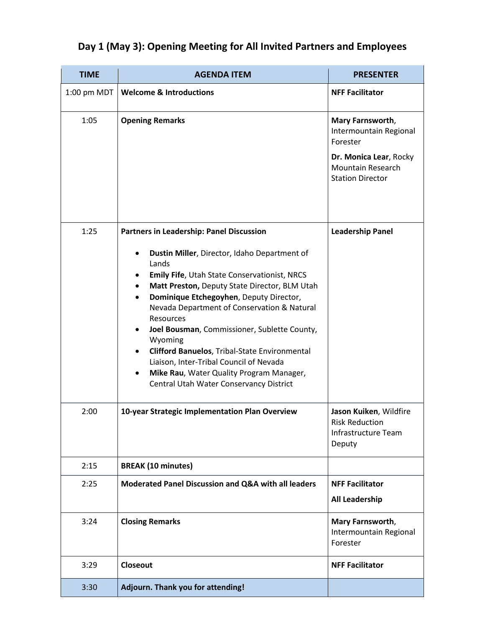| <b>TIME</b> | <b>AGENDA ITEM</b>                                                                                                                                                                                                                                                                                                                                                                                                                                                                                                                                                  | <b>PRESENTER</b>                                                                                             |
|-------------|---------------------------------------------------------------------------------------------------------------------------------------------------------------------------------------------------------------------------------------------------------------------------------------------------------------------------------------------------------------------------------------------------------------------------------------------------------------------------------------------------------------------------------------------------------------------|--------------------------------------------------------------------------------------------------------------|
| 1:00 pm MDT | <b>Welcome &amp; Introductions</b>                                                                                                                                                                                                                                                                                                                                                                                                                                                                                                                                  | <b>NFF Facilitator</b>                                                                                       |
| 1:05        | <b>Opening Remarks</b>                                                                                                                                                                                                                                                                                                                                                                                                                                                                                                                                              | Mary Farnsworth,<br>Intermountain Regional<br>Forester<br>Dr. Monica Lear, Rocky<br><b>Mountain Research</b> |
|             |                                                                                                                                                                                                                                                                                                                                                                                                                                                                                                                                                                     | <b>Station Director</b>                                                                                      |
| 1:25        | Partners in Leadership: Panel Discussion<br>Dustin Miller, Director, Idaho Department of<br>Lands<br>Emily Fife, Utah State Conservationist, NRCS<br>Matt Preston, Deputy State Director, BLM Utah<br>Dominique Etchegoyhen, Deputy Director,<br>Nevada Department of Conservation & Natural<br>Resources<br>Joel Bousman, Commissioner, Sublette County,<br>Wyoming<br><b>Clifford Banuelos, Tribal-State Environmental</b><br>Liaison, Inter-Tribal Council of Nevada<br>Mike Rau, Water Quality Program Manager,<br>٠<br>Central Utah Water Conservancy District | <b>Leadership Panel</b>                                                                                      |
| 2:00        | 10-year Strategic Implementation Plan Overview                                                                                                                                                                                                                                                                                                                                                                                                                                                                                                                      | Jason Kuiken, Wildfire<br><b>Risk Reduction</b><br><b>Infrastructure Team</b><br>Deputy                      |
| 2:15        | <b>BREAK (10 minutes)</b>                                                                                                                                                                                                                                                                                                                                                                                                                                                                                                                                           |                                                                                                              |
| 2:25        | Moderated Panel Discussion and Q&A with all leaders                                                                                                                                                                                                                                                                                                                                                                                                                                                                                                                 | <b>NFF Facilitator</b>                                                                                       |
|             |                                                                                                                                                                                                                                                                                                                                                                                                                                                                                                                                                                     | <b>All Leadership</b>                                                                                        |
| 3:24        | <b>Closing Remarks</b>                                                                                                                                                                                                                                                                                                                                                                                                                                                                                                                                              | Mary Farnsworth,<br>Intermountain Regional<br>Forester                                                       |
| 3:29        | Closeout                                                                                                                                                                                                                                                                                                                                                                                                                                                                                                                                                            | <b>NFF Facilitator</b>                                                                                       |
| 3:30        | Adjourn. Thank you for attending!                                                                                                                                                                                                                                                                                                                                                                                                                                                                                                                                   |                                                                                                              |

## **Day 1 (May 3): Opening Meeting for All Invited Partners and Employees**